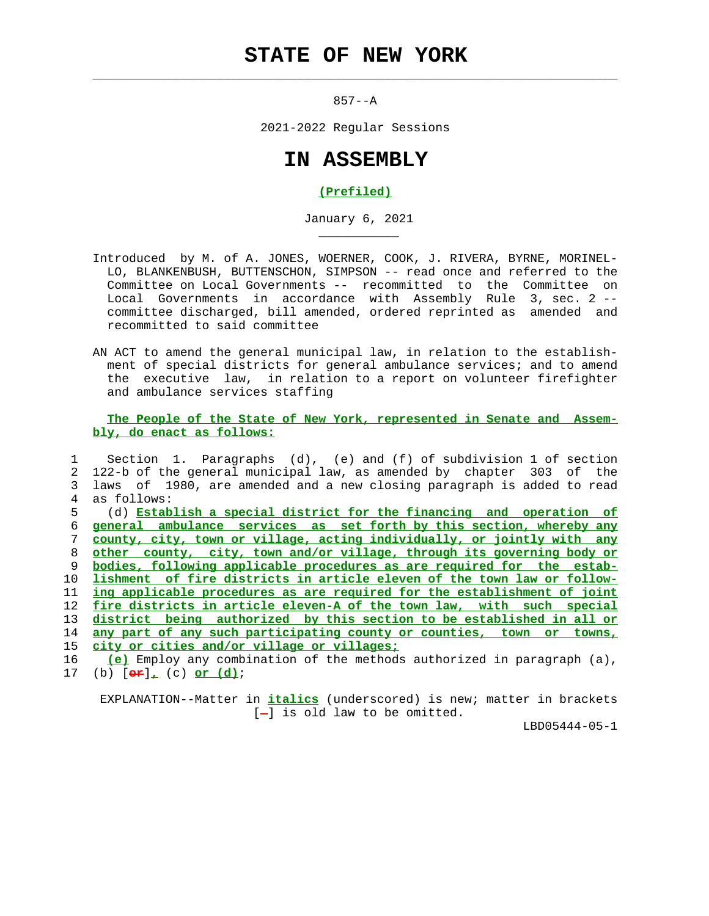## **STATE OF NEW YORK**

 $\mathcal{L}_\text{max} = \frac{1}{2} \sum_{i=1}^{n} \frac{1}{2} \sum_{i=1}^{n} \frac{1}{2} \sum_{i=1}^{n} \frac{1}{2} \sum_{i=1}^{n} \frac{1}{2} \sum_{i=1}^{n} \frac{1}{2} \sum_{i=1}^{n} \frac{1}{2} \sum_{i=1}^{n} \frac{1}{2} \sum_{i=1}^{n} \frac{1}{2} \sum_{i=1}^{n} \frac{1}{2} \sum_{i=1}^{n} \frac{1}{2} \sum_{i=1}^{n} \frac{1}{2} \sum_{i=1}^{n} \frac{1$ 

\_\_\_\_\_\_\_\_\_\_\_

857--A

2021-2022 Regular Sessions

## **IN ASSEMBLY**

## **(Prefiled)**

January 6, 2021

- Introduced by M. of A. JONES, WOERNER, COOK, J. RIVERA, BYRNE, MORINEL- LO, BLANKENBUSH, BUTTENSCHON, SIMPSON -- read once and referred to the Committee on Local Governments -- recommitted to the Committee on Local Governments in accordance with Assembly Rule 3, sec. 2 - committee discharged, bill amended, ordered reprinted as amended and recommitted to said committee
- AN ACT to amend the general municipal law, in relation to the establish ment of special districts for general ambulance services; and to amend the executive law, in relation to a report on volunteer firefighter and ambulance services staffing

 **The People of the State of New York, represented in Senate and Assem bly, do enact as follows:**

 1 Section 1. Paragraphs (d), (e) and (f) of subdivision 1 of section 2 122-b of the general municipal law, as amended by chapter 303 of the 3 laws of 1980, are amended and a new closing paragraph is added to read 4 as follows: 5 (d) **Establish a special district for the financing and operation of general ambulance services as set forth by this section, whereby any county, city, town or village, acting individually, or jointly with any other county, city, town and/or village, through its governing body or bodies, following applicable procedures as are required for the estab- lishment of fire districts in article eleven of the town law or follow- ing applicable procedures as are required for the establishment of joint fire districts in article eleven-A of the town law, with such special district being authorized by this section to be established in all or any part of any such participating county or counties, town or towns, city or cities and/or village or villages; (e)** Employ any combination of the methods authorized in paragraph (a),

17 (b) [**or**]**,** (c) **or (d)**;

 EXPLANATION--Matter in **italics** (underscored) is new; matter in brackets  $[-]$  is old law to be omitted.

LBD05444-05-1